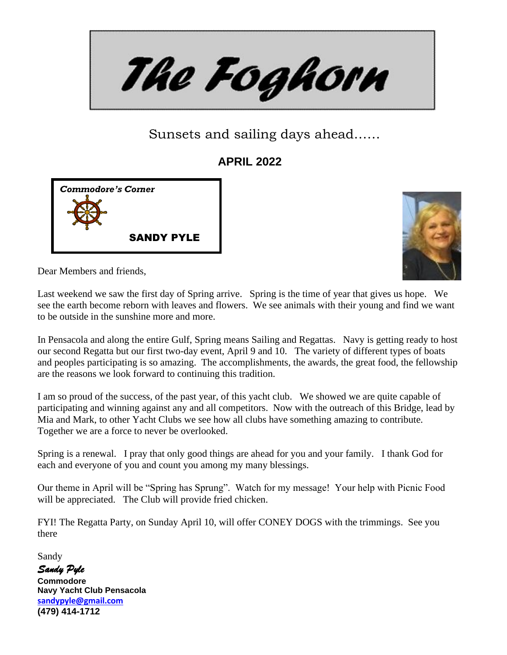The Foghorn

Sunsets and sailing days ahead……

**APRIL 2022**





Dear Members and friends,

Last weekend we saw the first day of Spring arrive. Spring is the time of year that gives us hope. We see the earth become reborn with leaves and flowers. We see animals with their young and find we want to be outside in the sunshine more and more.

In Pensacola and along the entire Gulf, Spring means Sailing and Regattas. Navy is getting ready to host our second Regatta but our first two-day event, April 9 and 10. The variety of different types of boats and peoples participating is so amazing. The accomplishments, the awards, the great food, the fellowship are the reasons we look forward to continuing this tradition.

I am so proud of the success, of the past year, of this yacht club. We showed we are quite capable of participating and winning against any and all competitors. Now with the outreach of this Bridge, lead by Mia and Mark, to other Yacht Clubs we see how all clubs have something amazing to contribute. Together we are a force to never be overlooked.

Spring is a renewal. I pray that only good things are ahead for you and your family. I thank God for each and everyone of you and count you among my many blessings.

Our theme in April will be "Spring has Sprung". Watch for my message! Your help with Picnic Food will be appreciated. The Club will provide fried chicken.

FYI! The Regatta Party, on Sunday April 10, will offer CONEY DOGS with the trimmings. See you there

Sandy

*Sandy Pyle*  **Commodore Navy Yacht Club Pensacola [sandypyle@gmail.com](mailto:sandypyle@gmail.com)  (479) 414-1712**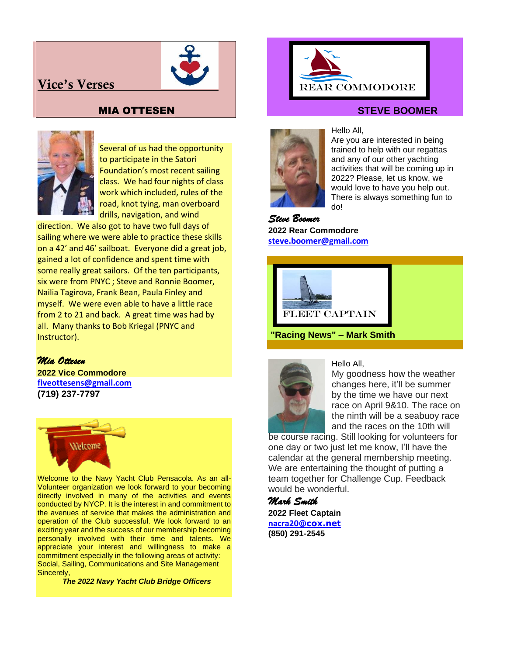# **Vice's Verses**



## MIA OTTESEN



Several of us had the opportunity to participate in the Satori Foundation's most recent sailing class. We had four nights of class work which included, rules of the road, knot tying, man overboard drills, navigation, and wind

direction. We also got to have two full days of sailing where we were able to practice these skills on a 42' and 46' sailboat. Everyone did a great job, gained a lot of confidence and spent time with some really great sailors. Of the ten participants, six were from PNYC ; Steve and Ronnie Boomer, Nailia Tagirova, Frank Bean, Paula Finley and myself. We were even able to have a little race from 2 to 21 and back. A great time was had by all. Many thanks to Bob Kriegal (PNYC and Instructor).

#### *Mia Ottesen*

**2022 Vice Commodore [fiveottesens@gmail.com](mailto:fiveottesens@gmail.com) (719) 237-7797**



Welcome to the Navy Yacht Club Pensacola. As an all-Volunteer organization we look forward to your becoming directly involved in many of the activities and events conducted by NYCP. It is the interest in and commitment to the avenues of service that makes the administration and operation of the Club successful. We look forward to an exciting year and the success of our membership becoming personally involved with their time and talents. We appreciate your interest and willingness to make a commitment especially in the following areas of activity: Social, Sailing, Communications and Site Management Sincerely,

 *The 2022 Navy Yacht Club Bridge Officers*



#### **STEVE BOOMER**



#### Hello All,

Are you are interested in being trained to help with our regattas and any of our other yachting activities that will be coming up in 2022? Please, let us know, we would love to have you help out. There is always something fun to do!

*Steve Boomer* **2022 Rear Commodore [steve.boomer@gmail.com](mailto:steve.boomer@gmail.com)**



**"Racing News" – Mark Smith**



Hello All,

My goodness how the weather changes here, it'll be summer by the time we have our next race on April 9&10. The race on the ninth will be a seabuoy race and the races on the 10th will

be course racing. Still looking for volunteers for one day or two just let me know, I'll have the calendar at the general membership meeting. We are entertaining the thought of putting a team together for Challenge Cup. Feedback would be wonderful.

*Mark Smith*  **2022 Fleet Captain [nacra20](mailto:nacra20onedesign@gmail.com)[@cox.net](mailto:nacra20onedesign@gmail.com) (850) 291-2545**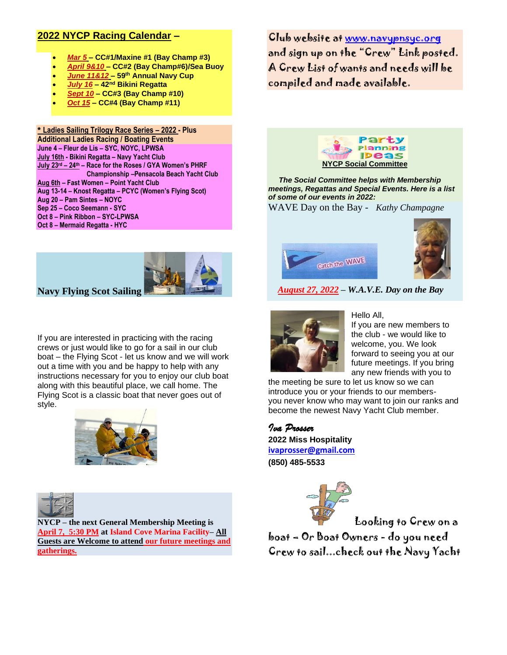## **2022 NYCP Racing Calendar –**

- *Mar 5* **– CC#1/Maxine #1 (Bay Champ #3)**
- *April 9&10* **– CC#2 (Bay Champ#6)/Sea Buoy**
- *June 11&12* **– 59 th Annual Navy Cup**
- *July 16* **– 42 nd Bikini Regatta**
- *Sept 10* **– CC#3 (Bay Champ #10)**
- *Oct 15* **– CC#4 (Bay Champ #11)**

**\* Ladies Sailing Trilogy Race Series – 2022 - Plus Additional Ladies Racing / Boating Events June 4 – Fleur de Lis – SYC, NOYC, LPWSA July 16th - Bikini Regatta – Navy Yacht Club July 23 rd – 24 th – Race for the Roses / GYA Women's PHRF Championship –Pensacola Beach Yacht Club Aug 6th – Fast Women – Point Yacht Club Aug 13-14 – Knost Regatta – PCYC (Women's Flying Scot) Aug 20 – Pam Sintes – NOYC Sep 25 – Coco Seemann - SYC Oct 8 – Pink Ribbon – SYC-LPWSA Oct 8 – Mermaid Regatta - HYC**

**Navy Flying Scot Sailing**

If you are interested in practicing with the racing crews or just would like to go for a sail in our club boat – the Flying Scot - let us know and we will work out a time with you and be happy to help with any instructions necessary for you to enjoy our club boat along with this beautiful place, we call home. The Flying Scot is a classic boat that never goes out of style.





**NYCP – the next General Membership Meeting is April 7, 5:30 PM at Island Cove Marina Facility– All Guests are Welcome to attend our future meetings and gatherings.**

Club website at [www.navypnsyc.org](http://www.navypnsyc.org/)  and sign up on the "Crew" Link posted. A Crew List of wants and needs will be compiled and made available.



 *The Social Committee helps with Membership meetings, Regattas and Special Events. Here is a list of some of our events in 2022:*

WAVE Day on the Bay - *Kathy Champagne*





 *August 27, 2022 – W.A.V.E. Day on the Bay*



Hello All,

If you are new members to the club - we would like to welcome, you. We look forward to seeing you at our future meetings. If you bring any new friends with you to

the meeting be sure to let us know so we can introduce you or your friends to our membersyou never know who may want to join our ranks and become the newest Navy Yacht Club member.



**2022 Miss Hospitality [ivaprosser@gmail.com](mailto:ivaprosser@gmail.com) (850) 485-5533**



Looking to Crew on a

boat – Or Boat Owners - do you need Crew to sail...check out the Navy Yacht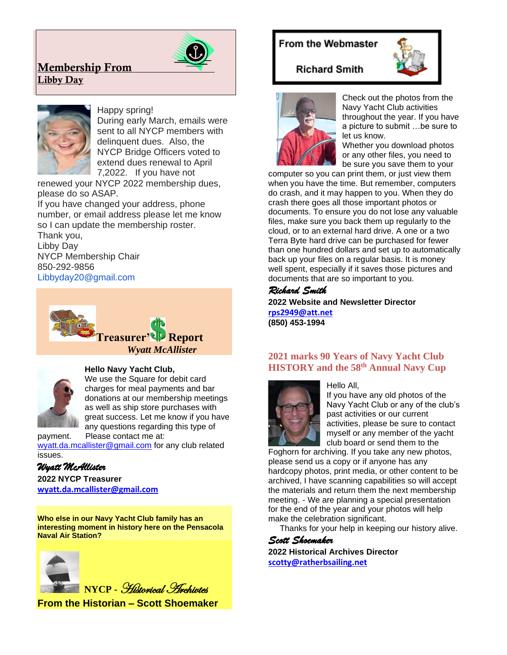# **Membership From Libby Day**



#### Happy spring!

During early March, emails were sent to all NYCP members with delinquent dues. Also, the NYCP Bridge Officers voted to extend dues renewal to April 7,2022. If you have not

renewed your NYCP 2022 membership dues, please do so ASAP.

If you have changed your address, phone number, or email address please let me know so I can update the membership roster.

Thank you, Libby Day NYCP Membership Chair 850-292-9856 Libbyday20@gmail.com





#### **Hello Navy Yacht Club,**

We use the Square for debit card charges for meal payments and bar donations at our membership meetings as well as ship store purchases with great success. Let me know if you have any questions regarding this type of

payment. Please contact me at: [wyatt.da.mcallister@gmail.com](mailto:wyatt.da.mcallister@gmail.com) for any club related issues.

## *Wyatt McAllister*

**2022 NYCP Treasurer [wyatt.da.mcallister@gmail.com](mailto:wyatt.da.mcallister@gmail.com)**

**Who else in our Navy Yacht Club family has an interesting moment in history here on the Pensacola Naval Air Station?**



**From the Historian – Scott Shoemaker**

# From the Webmaster



## **Richard Smith**



Check out the photos from the Navy Yacht Club activities throughout the year. If you have a picture to submit …be sure to let us know.

Whether you download photos or any other files, you need to be sure you save them to your

computer so you can print them, or just view them when you have the time. But remember, computers do crash, and it may happen to you. When they do crash there goes all those important photos or documents. To ensure you do not lose any valuable files, make sure you back them up regularly to the cloud, or to an external hard drive. A one or a two Terra Byte hard drive can be purchased for fewer than one hundred dollars and set up to automatically back up your files on a regular basis. It is money well spent, especially if it saves those pictures and documents that are so important to you.

## *Richard Smith*

**2022 Website and Newsletter Director [rps2949@att.net](mailto:rps2949@att.net)  (850) 453-1994**

#### **2021 marks 90 Years of Navy Yacht Club HISTORY and the 58 th Annual Navy Cup**



#### Hello All,

If you have any old photos of the Navy Yacht Club or any of the club's past activities or our current activities, please be sure to contact myself or any member of the yacht club board or send them to the

Foghorn for archiving. If you take any new photos, please send us a copy or if anyone has any hardcopy photos, print media, or other content to be archived, I have scanning capabilities so will accept the materials and return them the next membership meeting. - We are planning a special presentation for the end of the year and your photos will help make the celebration significant.

Thanks for your help in keeping our history alive.

## *Scott Shoemaker*

**2022 Historical Archives Director [scotty@ratherbsailing.net](mailto:scotty@ratherbsailing.net)**